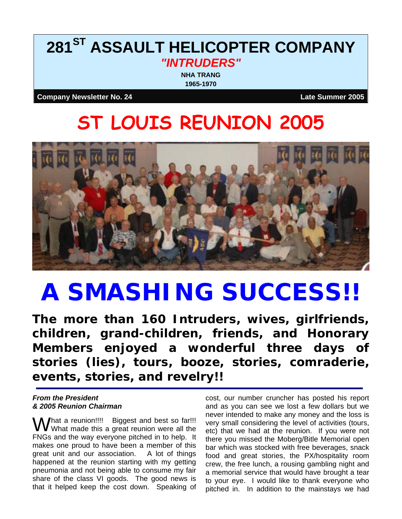## **281ST ASSAULT HELICOPTER COMPANY**  *"INTRUDERS"*

**NHA TRANG 1965-1970**

**Company Newsletter No. 24 Late Summer 2005**

# **ST LOUIS REUNION 2005**



# **A SMASHING SUCCESS!!**

*The more than 160 Intruders, wives, girlfriends, children, grand-children, friends, and Honorary Members enjoyed a wonderful three days of stories (lies), tours, booze, stories, comraderie, events, stories, and revelry!!* 

#### *From the President & 2005 Reunion Chairman*

 $\bigvee$ hat a reunion!!!! Biggest and best so far!!! What made this a great reunion were all the FNGs and the way everyone pitched in to help. It makes one proud to have been a member of this great unit and our association. A lot of things happened at the reunion starting with my getting pneumonia and not being able to consume my fair share of the class VI goods. The good news is that it helped keep the cost down. Speaking of

cost, our number cruncher has posted his report and as you can see we lost a few dollars but we never intended to make any money and the loss is very small considering the level of activities (tours, etc) that we had at the reunion. If you were not there you missed the Moberg/Bitle Memorial open bar which was stocked with free beverages, snack food and great stories, the PX/hospitality room crew, the free lunch, a rousing gambling night and a memorial service that would have brought a tear to your eye. I would like to thank everyone who pitched in. In addition to the mainstays we had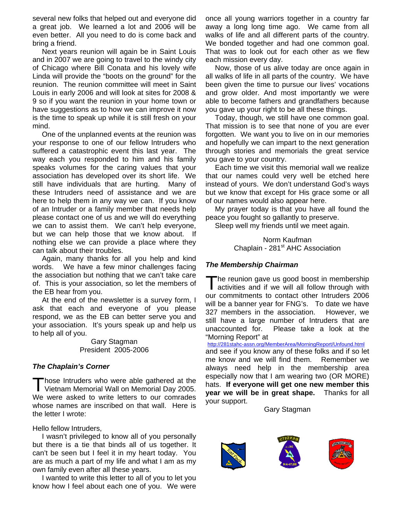several new folks that helped out and everyone did a great job. We learned a lot and 2006 will be even better. All you need to do is come back and bring a friend.

Next years reunion will again be in Saint Louis and in 2007 we are going to travel to the windy city of Chicago where Bill Conata and his lovely wife Linda will provide the "boots on the ground" for the reunion. The reunion committee will meet in Saint Louis in early 2006 and will look at sites for 2008 & 9 so if you want the reunion in your home town or have suggestions as to how we can improve it now is the time to speak up while it is still fresh on your mind.

One of the unplanned events at the reunion was your response to one of our fellow Intruders who suffered a catastrophic event this last year. The way each you responded to him and his family speaks volumes for the caring values that your association has developed over its short life. We still have individuals that are hurting. Many of these Intruders need of assistance and we are here to help them in any way we can. If you know of an Intruder or a family member that needs help please contact one of us and we will do everything we can to assist them. We can't help everyone, but we can help those that we know about. If nothing else we can provide a place where they can talk about their troubles.

Again, many thanks for all you help and kind words. We have a few minor challenges facing the association but nothing that we can't take care of. This is your association, so let the members of the EB hear from you.

At the end of the newsletter is a survey form, I ask that each and everyone of you please respond, we as the EB can better serve you and your association. It's yours speak up and help us to help all of you.

> Gary Stagman President 2005-2006

#### *The Chaplain's Corner*

hose Intruders who were able gathered at the Those Intruders who were able gathered at the<br>Vietnam Memorial Wall on Memorial Day 2005. We were asked to write letters to our comrades whose names are inscribed on that wall. Here is the letter I wrote:

Hello fellow Intruders,

I wasn't privileged to know all of you personally but there is a tie that binds all of us together. It can't be seen but I feel it in my heart today. You are as much a part of my life and what I am as my own family even after all these years.

I wanted to write this letter to all of you to let you know how I feel about each one of you. We were once all young warriors together in a country far away a long long time ago. We came from all walks of life and all different parts of the country. We bonded together and had one common goal. That was to look out for each other as we flew each mission every day.

Now, those of us alive today are once again in all walks of life in all parts of the country. We have been given the time to pursue our lives' vocations and grow older. And most importantly we were able to become fathers and grandfathers because you gave up your right to be all these things.

Today, though, we still have one common goal. That mission is to see that none of you are ever forgotten. We want you to live on in our memories and hopefully we can impart to the next generation through stories and memorials the great service you gave to your country.

Each time we visit this memorial wall we realize that our names could very well be etched here instead of yours. We don't understand God's ways but we know that except for His grace some or all of our names would also appear here.

My prayer today is that you have all found the peace you fought so gallantly to preserve.

Sleep well my friends until we meet again.

Norm Kaufman Chaplain - 281<sup>st</sup> AHC Association

#### *The Membership Chairman*

he reunion gave us good boost in membership The reunion gave us good boost in membership<br>activities and if we will all follow through with our commitments to contact other Intruders 2006 will be a banner year for FNG's. To date we have 327 members in the association. However, we still have a large number of Intruders that are unaccounted for. Please take a look at the "Morning Report" at

http://281stahc-assn.org/MemberArea/MorningReport/Unfound.html

and see if you know any of these folks and if so let me know and we will find them. Remember we always need help in the membership area especially now that I am wearing two (OR MORE) hats. **If everyone will get one new member this year we will be in great shape.** Thanks for all your support.

Gary Stagman





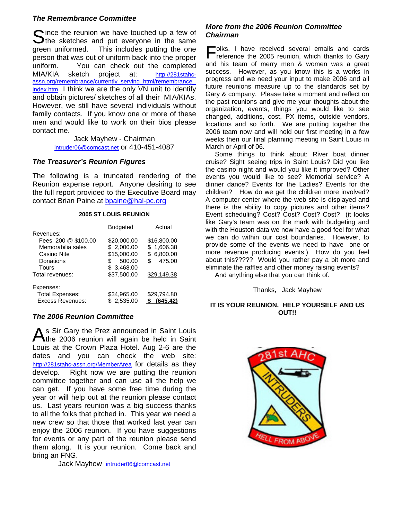#### *The Remembrance Committee*

Since the reunion we have touched up a few of the sketches and put everyone in the same  $\bigcup$  the sketches and put everyone in the same green uniformed. This includes putting the one person that was out of uniform back into the proper uniform. You can check out the completed MIA/KIA sketch project at: http://281stahcassn.org/remembrance/currently\_serving\_html/remembrance\_ index.htm I think we are the only VN unit to identify and obtain pictures/ sketches of all their MIA/KIAs. However, we still have several individuals without family contacts. If you know one or more of these men and would like to work on their bios please contact me.

> Jack Mayhew - Chairman intruder06@comcast.net or 410-451-4087

#### *The Treasurer's Reunion Figures*

The following is a truncated rendering of the Reunion expense report. Anyone desiring to see the full report provided to the Executive Board may contact Brian Paine at bpaine@hal-pc.org

#### **2005 ST LOUIS REUNION**

|                         | <b>Budgeted</b> | Actual         |
|-------------------------|-----------------|----------------|
| Revenues:               |                 |                |
| Fees 200 @ \$100.00     | \$20,000.00     | \$16,800.00    |
| Memorabilia sales       | \$2,000.00      | \$1,606.38     |
| Casino Nite             | \$15,000.00     | 6,800.00<br>\$ |
| Donations               | 500.00<br>S.    | 475.00<br>\$.  |
| Tours                   | \$ 3,468.00     |                |
| Total revenues:         | \$37,500.00     | \$29,149.38    |
| Expenses:               |                 |                |
| <b>Total Expenses:</b>  | \$34,965.00     | \$29,794.80    |
| <b>Excess Revenues:</b> | \$2.535.00      | (645.42)       |

#### *The 2006 Reunion Committee*

As Sir Gary the Prez announced in Saint Louis<br>the 2006 reunion will again be held in Saint The 2006 reunion will again be held in Saint Louis at the Crown Plaza Hotel. Aug 2-6 are the dates and you can check the web site: http://281stahc-assn.org/MemberArea for details as they develop. Right now we are putting the reunion committee together and can use all the help we can get. If you have some free time during the year or will help out at the reunion please contact us. Last years reunion was a big success thanks to all the folks that pitched in. This year we need a new crew so that those that worked last year can enjoy the 2006 reunion. If you have suggestions for events or any part of the reunion please send them along. It is your reunion. Come back and bring an FNG.

Jack Mayhew intruder06@comcast.net

#### *More from the 2006 Reunion Committee Chairman*

olks, I have received several emails and cards Folks, I have received several emails and cards reference the 2005 reunion, which thanks to Gary and his team of merry men & women was a great success. However, as you know this is a works in progress and we need your input to make 2006 and all future reunions measure up to the standards set by Gary & company. Please take a moment and reflect on the past reunions and give me your thoughts about the organization, events, things you would like to see changed, additions, cost, PX items, outside vendors, locations and so forth. We are putting together the 2006 team now and will hold our first meeting in a few weeks then our final planning meeting in Saint Louis in March or April of 06.

Some things to think about: River boat dinner cruise? Sight seeing trips in Saint Louis? Did you like the casino night and would you like it improved? Other events you would like to see? Memorial service? A dinner dance? Events for the Ladies? Events for the children? How do we get the children more involved? A computer center where the web site is displayed and there is the ability to copy pictures and other items? Event scheduling? Cost? Cost? Cost? Cost? (it looks like Gary's team was on the mark with budgeting and with the Houston data we now have a good feel for what we can do within our cost boundaries. However, to provide some of the events we need to have one or more revenue producing events.) How do you feel about this????? Would you rather pay a bit more and eliminate the raffles and other money raising events?

And anything else that you can think of.

#### Thanks, Jack Mayhew

#### **IT IS YOUR REUNION. HELP YOURSELF AND US OUT!!**

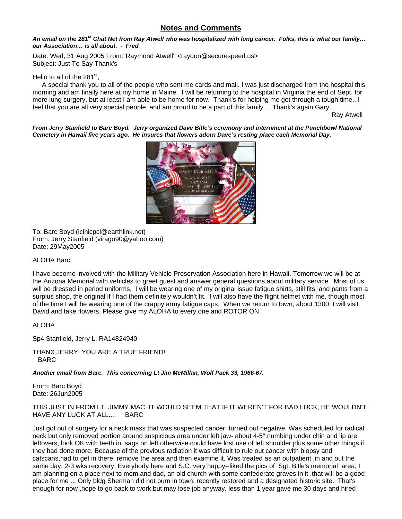#### **Notes and Comments**

#### *An email on the 281st Chat Net from Ray Atwell who was hospitalized with lung cancer. Folks, this is what our family… our Association… is all about. - Fred*

Date: Wed, 31 Aug 2005 From: "Raymond Atwell" <raydon@securespeed.us> Subject: Just To Say Thank's

#### Hello to all of the  $281<sup>st</sup>$ ,

 A special thank you to all of the people who sent me cards and mail. I was just discharged from the hospital this morning and am finally here at my home in Maine. I will be returning to the hospital in Virginia the end of Sept. for more lung surgery, but at least I am able to be home for now. Thank's for helping me get through a tough time.. I feel that you are all very special people, and am proud to be a part of this family.... Thank's again Gary....

Ray Atwell and the Castle of the Castle of the Castle of the Castle of the Castle of the Castle of the Castle of the Castle of the Castle of the Castle of the Castle of the Castle of the Castle of the Castle of the Castle

*From Jerry Stanfield to Barc Boyd. Jerry organized Dave Bitle's ceremony and internment at the Punchbowl National Cemetery in Hawaii five years ago. He insures that flowers adorn Dave's resting place each Memorial Day.* 



To: Barc Boyd (icihicpcl@earthlink.net) From: Jerry Stanfield (virago90@yahoo.com) Date: 29May2005

ALOHA Barc,

I have become involved with the Military Vehicle Preservation Association here in Hawaii. Tomorrow we will be at the Arizona Memorial with vehicles to greet guest and answer general questions about military service. Most of us will be dressed in period uniforms. I will be wearing one of my original issue fatigue shirts, still fits, and pants from a surplus shop, the original if I had them definitely wouldn't fit. I will also have the flight helmet with me, though most of the time I will be wearing one of the crappy army fatigue caps. When we return to town, about 1300. I will visit David and take flowers. Please give my ALOHA to every one and ROTOR ON.

#### ALOHA

Sp4 Stanfield, Jerry L. RA14824940

THANX JERRY! YOU ARE A TRUE FRIEND! BARC

*Another email from Barc. This concerning Lt Jim McMillan, Wolf Pack 33, 1966-67.* 

From: Barc Boyd Date: 26Jun2005

#### THIS JUST IN FROM LT. JIMMY MAC. IT WOULD SEEM THAT IF IT WEREN'T FOR BAD LUCK, HE WOULDN'T HAVE ANY LUCK AT ALL.... BARC

Just got out of surgery for a neck mass that was suspected cancer; turned out negative. Was scheduled for radical neck but only removed portion around suspicious area under left jaw- about 4-5''.numbing under chin and lip are leftovers, look OK with teeth in, sags on left otherwise.could have lost use of left shoulder plus some other things if they had done more. Because of the previous radiation it was difficult to rule out cancer with biopsy and catscans,had to get in there, remove the area and then examine it. Was treated as an outpatient ,in and out the same day. 2-3 wks recovery. Everybody here and S.C. very happy--liked the pics of Sgt. Bitle's memorial area; I am planning on a place next to mom and dad, an old church with some confederate graves in it .that will be a good place for me ... Only bldg Sherman did not burn in town, recently restored and a designated historic site. That's enough for now ,hope to go back to work but may lose job anyway, less than 1 year gave me 30 days and hired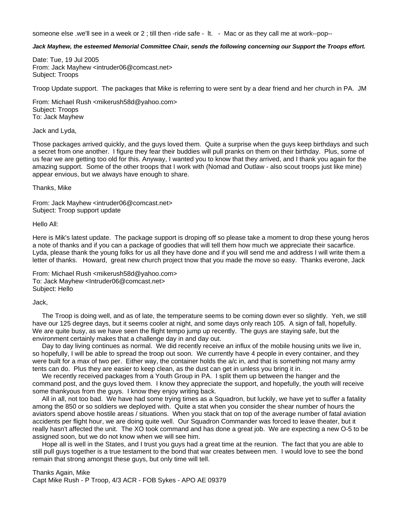someone else .we'll see in a week or 2; till then -ride safe - It. - Mac or as they call me at work--pop--

#### *Jack Mayhew, the esteemed Memorial Committee Chair, sends the following concerning our Support the Troops effort.*

Date: Tue, 19 Jul 2005 From: Jack Mayhew <intruder06@comcast.net> Subject: Troops

Troop Update support. The packages that Mike is referring to were sent by a dear friend and her church in PA. JM

From: Michael Rush <mikerush58d@yahoo.com> Subject: Troops To: Jack Mayhew

Jack and Lyda,

Those packages arrived quickly, and the guys loved them. Quite a surprise when the guys keep birthdays and such a secret from one another. I figure they fear their buddies will pull pranks on them on their birthday. Plus, some of us fear we are getting too old for this. Anyway, I wanted you to know that they arrived, and I thank you again for the amazing support. Some of the other troops that I work with (Nomad and Outlaw - also scout troops just like mine) appear envious, but we always have enough to share.

Thanks, Mike

From: Jack Mayhew <intruder06@comcast.net> Subject: Troop support update

Hello All:

Here is Mik's latest update. The package support is droping off so please take a moment to drop these young heros a note of thanks and if you can a package of goodies that will tell them how much we appreciate their sacarfice. Lyda, please thank the young folks for us all they have done and if you will send me and address I will write them a letter of thanks. Howard, great new church project tnow that you made the move so easy. Thanks everone, Jack

From: Michael Rush <mikerush58d@yahoo.com> To: Jack Mayhew <Intruder06@comcast.net> Subject: Hello

Jack,

The Troop is doing well, and as of late, the temperature seems to be coming down ever so slightly. Yeh, we still have our 125 degree days, but it seems cooler at night, and some days only reach 105. A sign of fall, hopefully. We are quite busy, as we have seen the flight tempo jump up recently. The guys are staying safe, but the environment certainly makes that a challenge day in and day out.

Day to day living continues as normal. We did recently receive an influx of the mobile housing units we live in, so hopefully, I will be able to spread the troop out soon. We currently have 4 people in every container, and they were built for a max of two per. Either way, the container holds the a/c in, and that is something not many army tents can do. Plus they are easier to keep clean, as the dust can get in unless you bring it in.

We recently received packages from a Youth Group in PA. I split them up between the hanger and the command post, and the guys loved them. I know they appreciate the support, and hopefully, the youth will receive some thankyous from the guys. I know they enjoy writing back.

All in all, not too bad. We have had some trying times as a Squadron, but luckily, we have yet to suffer a fatality among the 850 or so soldiers we deployed with. Quite a stat when you consider the shear number of hours the aviators spend above hostile areas / situations. When you stack that on top of the average number of fatal aviation accidents per flight hour, we are doing quite well. Our Squadron Commander was forced to leave theater, but it really hasn't affected the unit. The XO took command and has done a great job. We are expecting a new O-5 to be assigned soon, but we do not know when we will see him.

Hope all is well in the States, and I trust you guys had a great time at the reunion. The fact that you are able to still pull guys together is a true testament to the bond that war creates between men. I would love to see the bond remain that strong amongst these guys, but only time will tell.

Thanks Again, Mike Capt Mike Rush - P Troop, 4/3 ACR - FOB Sykes - APO AE 09379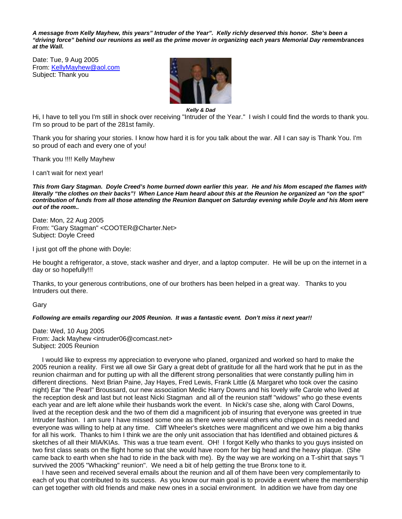*A message from Kelly Mayhew, this years" Intruder of the Year". Kelly richly deserved this honor. She's been a "driving force" behind our reunions as well as the prime mover in organizing each years Memorial Day remembrances at the Wall.* 

Date: Tue, 9 Aug 2005 From: KellyMayhew@aol.com Subject: Thank you



*Kelly & Dad* 

Hi, I have to tell you I'm still in shock over receiving "Intruder of the Year." I wish I could find the words to thank you. I'm so proud to be part of the 281st family.

Thank you for sharing your stories. I know how hard it is for you talk about the war. All I can say is Thank You. I'm so proud of each and every one of you!

Thank you !!!! Kelly Mayhew

I can't wait for next year!

*This from Gary Stagman. Doyle Creed's home burned down earlier this year. He and his Mom escaped the flames with literally "the clothes on their backs"! When Lance Ham heard about this at the Reunion he organized an "on the spot" contribution of funds from all those attending the Reunion Banquet on Saturday evening while Doyle and his Mom were out of the room..* 

Date: Mon, 22 Aug 2005 From: "Gary Stagman" <COOTER@Charter.Net> Subject: Doyle Creed

I just got off the phone with Doyle:

He bought a refrigerator, a stove, stack washer and dryer, and a laptop computer. He will be up on the internet in a day or so hopefully!!!

Thanks, to your generous contributions, one of our brothers has been helped in a great way. Thanks to you Intruders out there.

Gary

#### *Following are emails regarding our 2005 Reunion. It was a fantastic event. Don't miss it next year!!*

Date: Wed, 10 Aug 2005 From: Jack Mayhew <intruder06@comcast.net> Subject: 2005 Reunion

I would like to express my appreciation to everyone who planed, organized and worked so hard to make the 2005 reunion a reality. First we all owe Sir Gary a great debt of gratitude for all the hard work that he put in as the reunion chairman and for putting up with all the different strong personalities that were constantly pulling him in different directions. Next Brian Paine, Jay Hayes, Fred Lewis, Frank Little (& Margaret who took over the casino night) Ear "the Pearl" Broussard, our new association Medic Harry Downs and his lovely wife Carole who lived at the reception desk and last but not least Nicki Stagman and all of the reunion staff "widows" who go these events each year and are left alone while their husbands work the event. In Nicki's case she, along with Carol Downs, lived at the reception desk and the two of them did a magnificent job of insuring that everyone was greeted in true Intruder fashion. I am sure I have missed some one as there were several others who chipped in as needed and everyone was willing to help at any time. Cliff Wheeler's sketches were magnificent and we owe him a big thanks for all his work. Thanks to him I think we are the only unit association that has Identified and obtained pictures & sketches of all their MIA/KIAs. This was a true team event. OH! I forgot Kelly who thanks to you guys insisted on two first class seats on the flight home so that she would have room for her big head and the heavy plaque. (She came back to earth when she had to ride in the back with me). By the way we are working on a T-shirt that says "I survived the 2005 "Whacking" reunion". We need a bit of help getting the true Bronx tone to it.

I have seen and received several emails about the reunion and all of them have been very complementarily to each of you that contributed to its success. As you know our main goal is to provide a event where the membership can get together with old friends and make new ones in a social environment. In addition we have from day one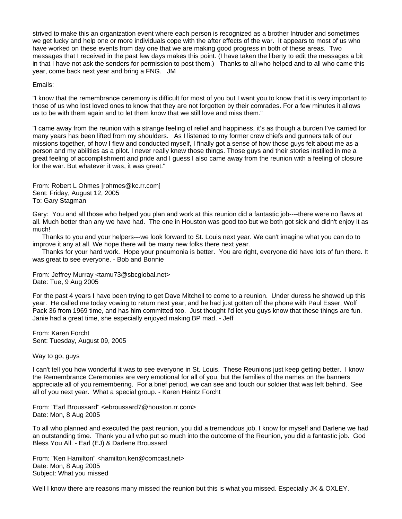strived to make this an organization event where each person is recognized as a brother Intruder and sometimes we get lucky and help one or more individuals cope with the after effects of the war. It appears to most of us who have worked on these events from day one that we are making good progress in both of these areas. Two messages that I received in the past few days makes this point. (I have taken the liberty to edit the messages a bit in that I have not ask the senders for permission to post them.) Thanks to all who helped and to all who came this year, come back next year and bring a FNG. JM

#### Emails:

"I know that the remembrance ceremony is difficult for most of you but I want you to know that it is very important to those of us who lost loved ones to know that they are not forgotten by their comrades. For a few minutes it allows us to be with them again and to let them know that we still love and miss them."

"I came away from the reunion with a strange feeling of relief and happiness, it's as though a burden I've carried for many years has been lifted from my shoulders. As I listened to my former crew chiefs and gunners talk of our missions together, of how I flew and conducted myself, I finally got a sense of how those guys felt about me as a person and my abilities as a pilot. I never really knew those things. Those guys and their stories instilled in me a great feeling of accomplishment and pride and I guess I also came away from the reunion with a feeling of closure for the war. But whatever it was, it was great."

From: Robert L Ohmes [rohmes@kc.rr.com] Sent: Friday, August 12, 2005 To: Gary Stagman

Gary: You and all those who helped you plan and work at this reunion did a fantastic job----there were no flaws at all. Much better than any we have had. The one in Houston was good too but we both got sick and didn't enjoy it as much!

Thanks to you and your helpers---we look forward to St. Louis next year. We can't imagine what you can do to improve it any at all. We hope there will be many new folks there next year.

Thanks for your hard work. Hope your pneumonia is better. You are right, everyone did have lots of fun there. It was great to see everyone. - Bob and Bonnie

From: Jeffrey Murray <tamu73@sbcglobal.net> Date: Tue, 9 Aug 2005

For the past 4 years I have been trying to get Dave Mitchell to come to a reunion. Under duress he showed up this year. He called me today vowing to return next year, and he had just gotten off the phone with Paul Esser, Wolf Pack 36 from 1969 time, and has him committed too. Just thought I'd let you guys know that these things are fun. Janie had a great time, she especially enjoyed making BP mad. - Jeff

From: Karen Forcht Sent: Tuesday, August 09, 2005

#### Way to go, guys

I can't tell you how wonderful it was to see everyone in St. Louis. These Reunions just keep getting better. I know the Remembrance Ceremonies are very emotional for all of you, but the families of the names on the banners appreciate all of you remembering. For a brief period, we can see and touch our soldier that was left behind. See all of you next year. What a special group. - Karen Heintz Forcht

From: "Earl Broussard" <ebroussard7@houston.rr.com> Date: Mon, 8 Aug 2005

To all who planned and executed the past reunion, you did a tremendous job. I know for myself and Darlene we had an outstanding time. Thank you all who put so much into the outcome of the Reunion, you did a fantastic job. God Bless You All. - Earl (EJ) & Darlene Broussard

From: "Ken Hamilton" <hamilton.ken@comcast.net> Date: Mon, 8 Aug 2005 Subject: What you missed

Well I know there are reasons many missed the reunion but this is what you missed. Especially JK & OXLEY.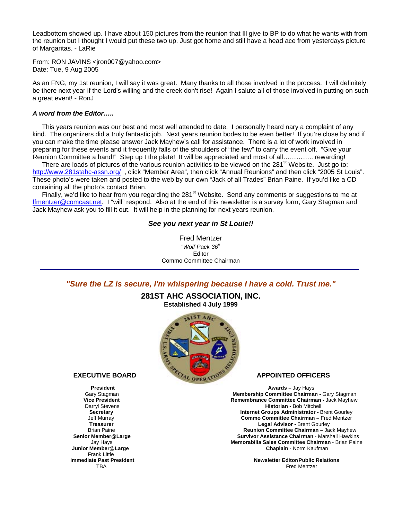Leadbottom showed up. I have about 150 pictures from the reunion that Ill give to BP to do what he wants with from the reunion but I thought I would put these two up. Just got home and still have a head ace from yesterdays picture of Margaritas. - LaRie

From: RON JAVINS <jron007@yahoo.com> Date: Tue, 9 Aug 2005

As an FNG, my 1st reunion, I will say it was great. Many thanks to all those involved in the process. I will definitely be there next year if the Lord's willing and the creek don't rise! Again I salute all of those involved in putting on such a great event! - RonJ

#### *A word from the Editor…..*

This years reunion was our best and most well attended to date. I personally heard nary a complaint of any kind. The organizers did a truly fantastic job. Next years reunion bodes to be even better! If you're close by and if you can make the time please answer Jack Mayhew's call for assistance. There is a lot of work involved in preparing for these events and it frequently falls of the shoulders of "the few" to carry the event off. "Give your Reunion Committee a hand!" Step up t the plate! It will be appreciated and most of all………….. rewarding!

There are loads of pictures of the various reunion activities to be viewed on the 281 $^{\rm st}$  Website. Just go to: http://www.281stahc-assn.org/, click "Member Area", then click "Annual Reunions" and then click "2005 St Louis". These photo's were taken and posted to the web by our own "Jack of all Trades" Brian Paine. If you'd like a CD containing all the photo's contact Brian.

Finally, we'd like to hear from you regarding the 281<sup>st</sup> Website. Send any comments or suggestions to me at ffmentzer@comcast.net. I "will" respond. Also at the end of this newsletter is a survey form, Gary Stagman and Jack Mayhew ask you to fill it out. It will help in the planning for next years reunion.

#### *See you next year in St Louie!!*

Fred Mentzer *"Wolf Pack 36*" Editor Commo Committee Chairman

*"Sure the LZ is secure, I'm whispering because I have a cold. Trust me."*

#### **281ST AHC ASSOCIATION, INC. Established 4 July 1999**



 Frank Little **Immediate Past President** 

**President Awards – Jay Haysett Awards – Jay Haysett Awards – Jay Haysett Awards – Jay Haysett Awards – Jay Haysett Awards – Jay Haysett Awards – Jay Haysett Awards – Jay Haysett Awards – Jay Haysett Awards – Jay Haysett A** Gary Stagman **Membership Committee Chairman -** Gary Stagman **The Committee Chairman - Gary Stagman**<br>**Membership Committee Chairman -** Jack Mayhew<br>**Remembrance Committee Chairman -** Jack Mayhew **Remembrance Committee Chairman - Jack Mayhew**  Darryl Stevens **Historian -** Bob Mitchell **Internet Groups Administrator - Brent Gourley**  Jeff Murray **Commo Committee Chairman –** Fred Mentzer **Treasurer Legal Advisor - Brent Gourley Company Advisor - Brent Gourley Company Advisor - Brent Gourley Company** Brian Paine **Brian Paine 1996 1996 1997 1998 1999 12:34 Reunion Committee Chairman – Jack Mayhew<br>Survivor Assistance Chairman - Marshall Hawkins Survivor Assistance Chairman - Marshall Hawkins** Jay Hays **Memorabilia Sales Committee Chairman** - Brian Paine **Chaplain - Norm Kaufman** 

The minimization of the state in the state of the state of the state of the state of the state of the TBA Fred Mentzer **Newsletter Editor/Public Relations**